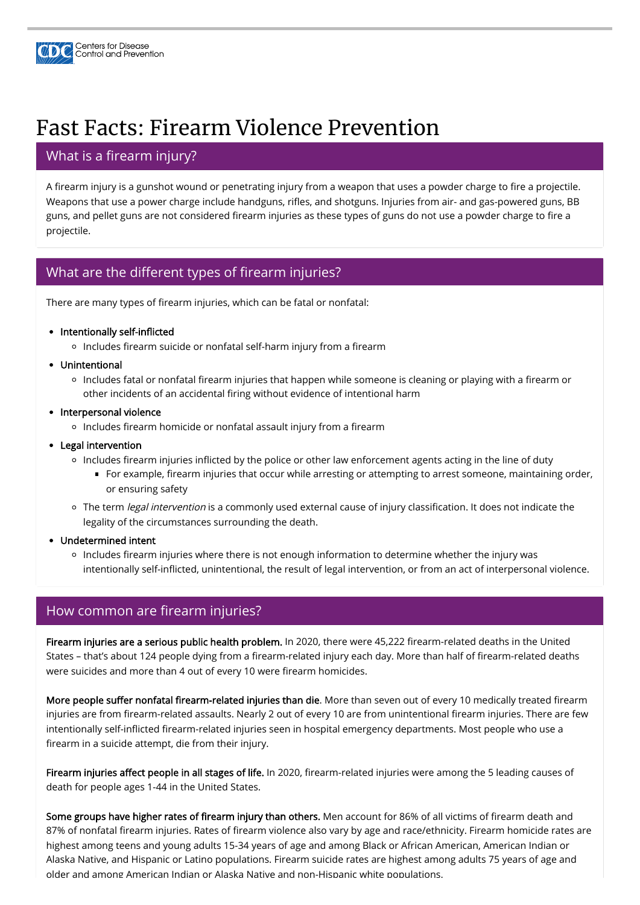

# Fast Facts: Firearm Violence Prevention

# What is a firearm injury?

A firearm injury is a gunshot wound or penetrating injury from a weapon that uses a powder charge to fire a projectile. Weapons that use a power charge include handguns, rifles, and shotguns. Injuries from air- and gas-powered guns, BB guns, and pellet guns are not considered firearm injuries as these types of guns do not use a powder charge to fire a projectile.

## What are the different types of firearm injuries?

There are many types of firearm injuries, which can be fatal or nonfatal:

- Intentionally self-inflicted
	- o Includes firearm suicide or nonfatal self-harm injury from a firearm
- Unintentional
	- o Includes fatal or nonfatal firearm injuries that happen while someone is cleaning or playing with a firearm or other incidents of an accidental firing without evidence of intentional harm
- Interpersonal violence
	- o Includes firearm homicide or nonfatal assault injury from a firearm
- Legal intervention
	- o Includes firearm injuries inflicted by the police or other law enforcement agents acting in the line of duty
		- For example, firearm injuries that occur while arresting or attempting to arrest someone, maintaining order, or ensuring safety
	- o The term *legal intervention* is a commonly used external cause of injury classification. It does not indicate the legality of the circumstances surrounding the death.
- Undetermined intent
	- o Includes firearm injuries where there is not enough information to determine whether the injury was intentionally self-inflicted, unintentional, the result of legal intervention, or from an act of interpersonal violence.

### How common are firearm injuries?

Firearm injuries are a serious public health problem. In 2020, there were 45,222 firearm-related deaths in the United States – that's about 124 people dying from a firearm-related injury each day. More than half of firearm-related deaths were suicides and more than 4 out of every 10 were firearm homicides.

More people suffer nonfatal firearm-related injuries than die. More than seven out of every 10 medically treated firearm injuries are from firearm-related assaults. Nearly 2 out of every 10 are from unintentional firearm injuries. There are few intentionally self-inflicted firearm-related injuries seen in hospital emergency departments. Most people who use a firearm in a suicide attempt, die from their injury.

Firearm injuries affect people in all stages of life. In 2020, firearm-related injuries were among the 5 leading causes of death for people ages 1-44 in the United States.

Some groups have higher rates of firearm injury than others. Men account for 86% of all victims of firearm death and 87% of nonfatal firearm injuries. Rates of firearm violence also vary by age and race/ethnicity. Firearm homicide rates are highest among teens and young adults 15-34 years of age and among Black or African American, American Indian or Alaska Native, and Hispanic or Latino populations. Firearm suicide rates are highest among adults 75 years of age and older and among American Indian or Alaska Native and non-Hispanic white populations.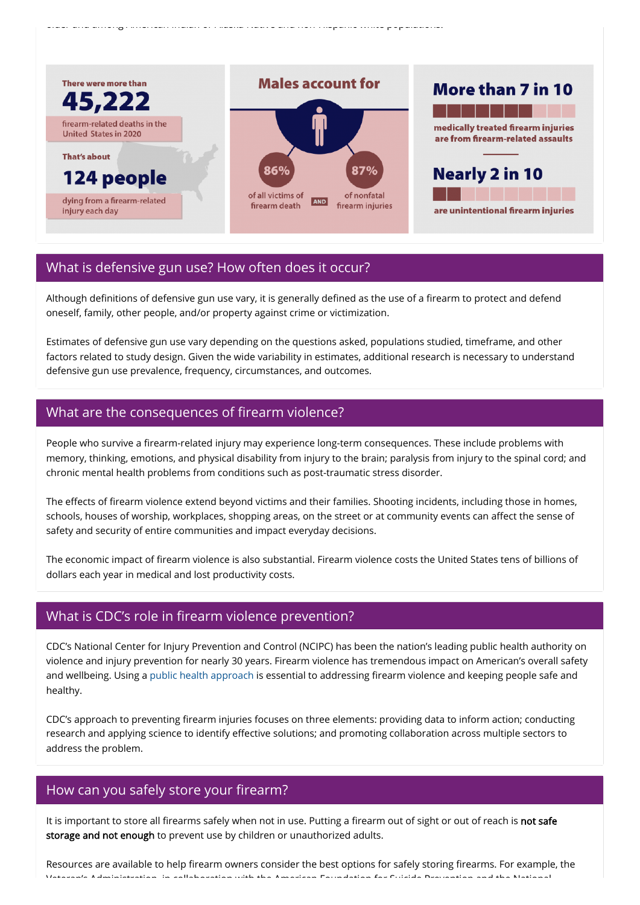older and among American Indian or Alaska Native and non Hispanic white populations.



## What is defensive gun use? How often does it occur?

Although definitions of defensive gun use vary, it is generally defined as the use of a firearm to protect and defend oneself, family, other people, and/or property against crime or victimization.

Estimates of defensive gun use vary depending on the questions asked, populations studied, timeframe, and other factors related to study design. Given the wide variability in estimates, additional research is necessary to understand defensive gun use prevalence, frequency, circumstances, and outcomes.

### What are the consequences of firearm violence?

People who survive a firearm-related injury may experience long-term consequences. These include problems with memory, thinking, emotions, and physical disability from injury to the brain; paralysis from injury to the spinal cord; and chronic mental health problems from conditions such as post-traumatic stress disorder.

The effects of firearm violence extend beyond victims and their families. Shooting incidents, including those in homes, schools, houses of worship, workplaces, shopping areas, on the street or at community events can affect the sense of safety and security of entire communities and impact everyday decisions.

The economic impact of firearm violence is also substantial. Firearm violence costs the United States tens of billions of dollars each year in medical and lost productivity costs.

### What is CDC's role in firearm violence prevention?

CDC's National Center for Injury Prevention and Control (NCIPC) has been the nation's leading public health authority on violence and injury prevention for nearly 30 years. Firearm violence has tremendous impact on American's overall safety and wellbeing. Using a [public health approach](https://www.cdc.gov/violenceprevention/publichealthissue/publichealthapproach.html) is essential to addressing firearm violence and keeping people safe and

CDC's approach to preventing firearm injuries focuses on three elements: providing data to inform action; conducting research and applying science to identify effective solutions; and promoting collaboration across multiple sectors to address the problem.

#### How can you safely store your firearm?

It is important to store all firearms safely when not in use. Putting a firearm out of sight or out of reach is not safe storage and not enough to prevent use by children or unauthorized adults.

Resources are available to help firearm owners consider the best options for safely storing firearms. For example, the Veteran's Administration in collaboration with the American Foundation for Suicide Prevention and the National

healthy.